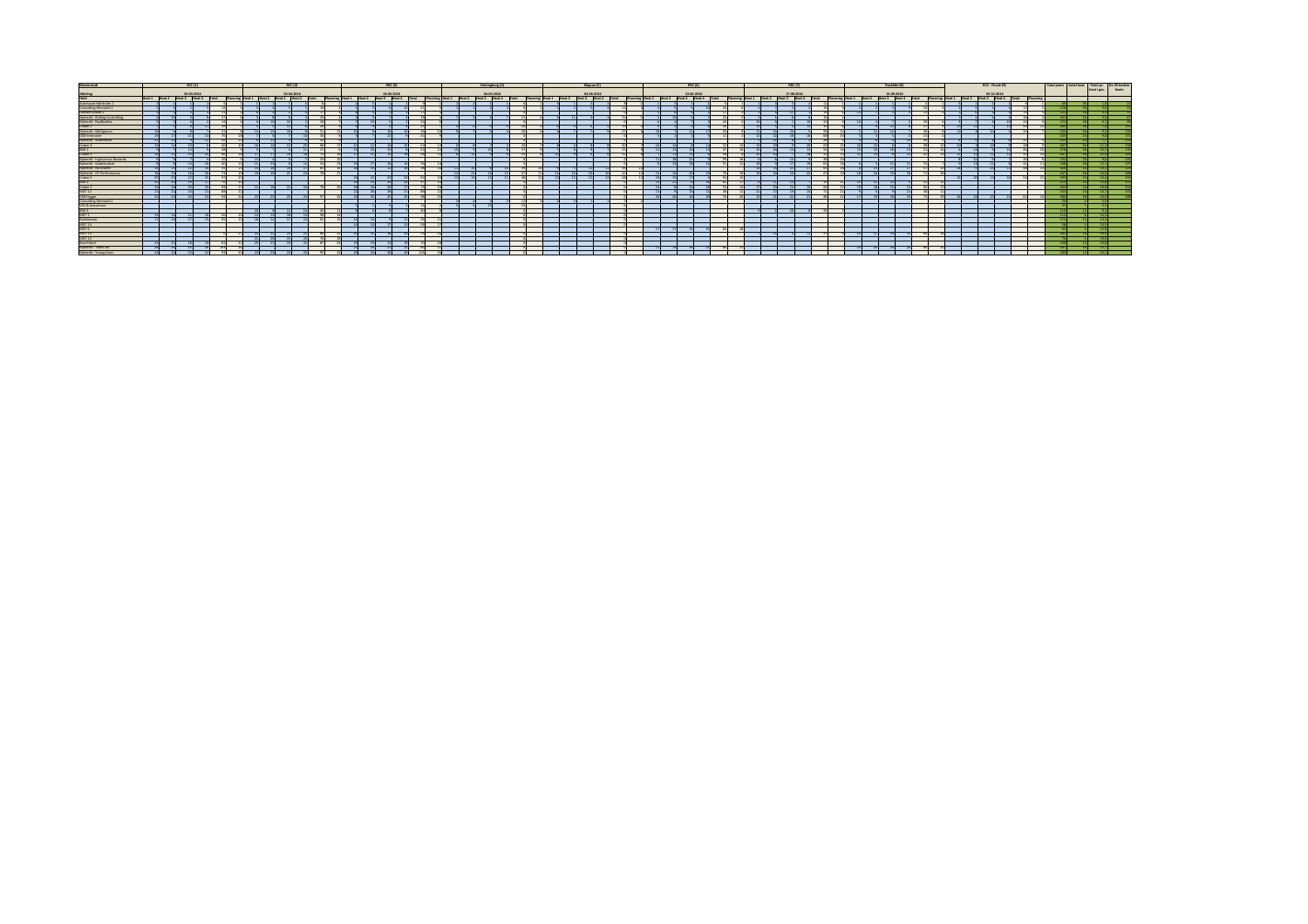| Mesterskab                           |  | RCC(1)     |  |  | RCC (2)    |  |  | <b>RRC (3)</b> |  |  | <b>Nehingborg</b> (4) |  |  | Klippan (5) |  |  | <b>RRC (6)</b> |                                                                                                                                                                                                                                | <b>RRC(7)</b> |  |  | Raskilde (\$) |  |  | RCC - Finale (9) |  | Total point Antal heat Point or. De 20 bedate |               |               |
|--------------------------------------|--|------------|--|--|------------|--|--|----------------|--|--|-----------------------|--|--|-------------|--|--|----------------|--------------------------------------------------------------------------------------------------------------------------------------------------------------------------------------------------------------------------------|---------------|--|--|---------------|--|--|------------------|--|-----------------------------------------------|---------------|---------------|
|                                      |  | 30.03.2016 |  |  | 20.04.2016 |  |  | 04.05.2016     |  |  | 04.05.2016            |  |  | 04.06.2016  |  |  | 22.06.2016     |                                                                                                                                                                                                                                | 17.08.2016    |  |  | 14.09.2016    |  |  | 05.10.2016       |  |                                               | <b>heatis</b> | <b>Buents</b> |
| Afdeling<br>Hold                     |  |            |  |  |            |  |  |                |  |  |                       |  |  |             |  |  |                | Menta Menta Menta Menta Point Placering Menta Menta Menta Menta Menta Placering Menta Menta Menta Menta Menta Menta Menta Menta Menta Menta Menta Menta Menta Menta Menta Menta Menta Menta Menta Menta Menta Menta Menta Ment |               |  |  |               |  |  |                  |  |                                               |               |               |
| Autohuset Hørsholm 1                 |  |            |  |  |            |  |  |                |  |  |                       |  |  |             |  |  |                |                                                                                                                                                                                                                                |               |  |  |               |  |  |                  |  |                                               |               |               |
| <b>Consulting Denmark 1</b>          |  |            |  |  |            |  |  |                |  |  |                       |  |  |             |  |  |                |                                                                                                                                                                                                                                |               |  |  |               |  |  |                  |  |                                               |               |               |
| Danske Gokart 1                      |  |            |  |  |            |  |  |                |  |  |                       |  |  |             |  |  |                |                                                                                                                                                                                                                                |               |  |  |               |  |  |                  |  |                                               |               |               |
| <b>Nykredt - Rolling Controlling</b> |  |            |  |  |            |  |  |                |  |  |                       |  |  |             |  |  |                |                                                                                                                                                                                                                                |               |  |  |               |  |  |                  |  |                                               |               |               |
| Nykredt - BoxEcollox                 |  |            |  |  |            |  |  |                |  |  |                       |  |  |             |  |  |                |                                                                                                                                                                                                                                |               |  |  |               |  |  |                  |  |                                               |               |               |
| Codan 1                              |  |            |  |  |            |  |  |                |  |  |                       |  |  |             |  |  |                |                                                                                                                                                                                                                                |               |  |  |               |  |  |                  |  |                                               |               |               |
| Nykredit - NAVigators                |  |            |  |  |            |  |  |                |  |  |                       |  |  |             |  |  |                |                                                                                                                                                                                                                                |               |  |  |               |  |  |                  |  |                                               |               |               |
| DSB Veteraner                        |  |            |  |  |            |  |  |                |  |  |                       |  |  |             |  |  |                |                                                                                                                                                                                                                                |               |  |  |               |  |  |                  |  |                                               |               |               |
| Nykredit - Starbreeze                |  |            |  |  |            |  |  |                |  |  |                       |  |  |             |  |  |                |                                                                                                                                                                                                                                |               |  |  |               |  |  |                  |  |                                               |               |               |
| insten                               |  |            |  |  |            |  |  |                |  |  |                       |  |  |             |  |  |                |                                                                                                                                                                                                                                |               |  |  |               |  |  |                  |  |                                               |               |               |
| <b>IBM 1</b>                         |  |            |  |  |            |  |  |                |  |  |                       |  |  |             |  |  |                |                                                                                                                                                                                                                                |               |  |  |               |  |  |                  |  |                                               |               |               |
| Codan 4                              |  |            |  |  |            |  |  |                |  |  |                       |  |  |             |  |  |                |                                                                                                                                                                                                                                |               |  |  |               |  |  |                  |  |                                               |               |               |
| Nykredit - Inglourious Bastards      |  |            |  |  |            |  |  |                |  |  |                       |  |  |             |  |  |                |                                                                                                                                                                                                                                |               |  |  |               |  |  |                  |  |                                               |               |               |
| Nykredit - Gadekredset               |  |            |  |  |            |  |  |                |  |  |                       |  |  |             |  |  |                |                                                                                                                                                                                                                                |               |  |  |               |  |  |                  |  |                                               |               |               |
| Nykredit - No brakes                 |  |            |  |  |            |  |  |                |  |  |                       |  |  |             |  |  |                |                                                                                                                                                                                                                                |               |  |  |               |  |  |                  |  |                                               |               |               |
| Nykredt - GT Performance             |  |            |  |  |            |  |  |                |  |  |                       |  |  |             |  |  |                |                                                                                                                                                                                                                                |               |  |  |               |  |  |                  |  |                                               |               |               |
| odan 5                               |  |            |  |  |            |  |  |                |  |  |                       |  |  |             |  |  |                |                                                                                                                                                                                                                                |               |  |  |               |  |  |                  |  |                                               |               |               |
| <b>IBM 2</b>                         |  |            |  |  |            |  |  |                |  |  |                       |  |  |             |  |  |                |                                                                                                                                                                                                                                |               |  |  |               |  |  |                  |  |                                               |               |               |
| Codan 2                              |  |            |  |  |            |  |  |                |  |  |                       |  |  |             |  |  |                |                                                                                                                                                                                                                                |               |  |  |               |  |  |                  |  |                                               |               |               |
| MDT 12                               |  |            |  |  |            |  |  |                |  |  |                       |  |  |             |  |  |                |                                                                                                                                                                                                                                |               |  |  |               |  |  |                  |  |                                               |               |               |
| DSB Hygge                            |  |            |  |  |            |  |  |                |  |  |                       |  |  |             |  |  |                |                                                                                                                                                                                                                                |               |  |  |               |  |  |                  |  |                                               |               |               |
| Consulting Denmark 2                 |  |            |  |  |            |  |  |                |  |  |                       |  |  |             |  |  |                |                                                                                                                                                                                                                                |               |  |  |               |  |  |                  |  |                                               |               |               |
| <b>WS &amp; Gasservice</b>           |  |            |  |  |            |  |  |                |  |  |                       |  |  |             |  |  |                |                                                                                                                                                                                                                                |               |  |  |               |  |  |                  |  |                                               |               |               |
|                                      |  |            |  |  |            |  |  |                |  |  |                       |  |  |             |  |  |                |                                                                                                                                                                                                                                |               |  |  |               |  |  |                  |  |                                               |               |               |
| MDT1                                 |  |            |  |  |            |  |  |                |  |  |                       |  |  |             |  |  |                |                                                                                                                                                                                                                                |               |  |  |               |  |  |                  |  |                                               |               |               |
| Radiometer                           |  |            |  |  |            |  |  |                |  |  |                       |  |  |             |  |  |                |                                                                                                                                                                                                                                |               |  |  |               |  |  |                  |  |                                               |               |               |
| <b>MDT14</b>                         |  |            |  |  |            |  |  |                |  |  |                       |  |  |             |  |  |                |                                                                                                                                                                                                                                |               |  |  |               |  |  |                  |  |                                               |               |               |
| <b>MDT6</b>                          |  |            |  |  |            |  |  |                |  |  |                       |  |  |             |  |  |                |                                                                                                                                                                                                                                |               |  |  |               |  |  |                  |  |                                               |               |               |
| EITOM                                |  |            |  |  |            |  |  |                |  |  |                       |  |  |             |  |  |                |                                                                                                                                                                                                                                |               |  |  |               |  |  |                  |  |                                               |               |               |
| MDT 15                               |  |            |  |  |            |  |  |                |  |  |                       |  |  |             |  |  |                |                                                                                                                                                                                                                                |               |  |  |               |  |  |                  |  |                                               |               |               |
| lornFiber:                           |  |            |  |  |            |  |  |                |  |  |                       |  |  |             |  |  |                |                                                                                                                                                                                                                                |               |  |  |               |  |  |                  |  |                                               |               |               |
| Nykredit - Team SRI                  |  |            |  |  |            |  |  |                |  |  |                       |  |  |             |  |  |                |                                                                                                                                                                                                                                |               |  |  |               |  |  |                  |  |                                               |               |               |
| Nykredit - Young Gunz                |  |            |  |  |            |  |  |                |  |  |                       |  |  |             |  |  |                |                                                                                                                                                                                                                                |               |  |  |               |  |  |                  |  |                                               |               |               |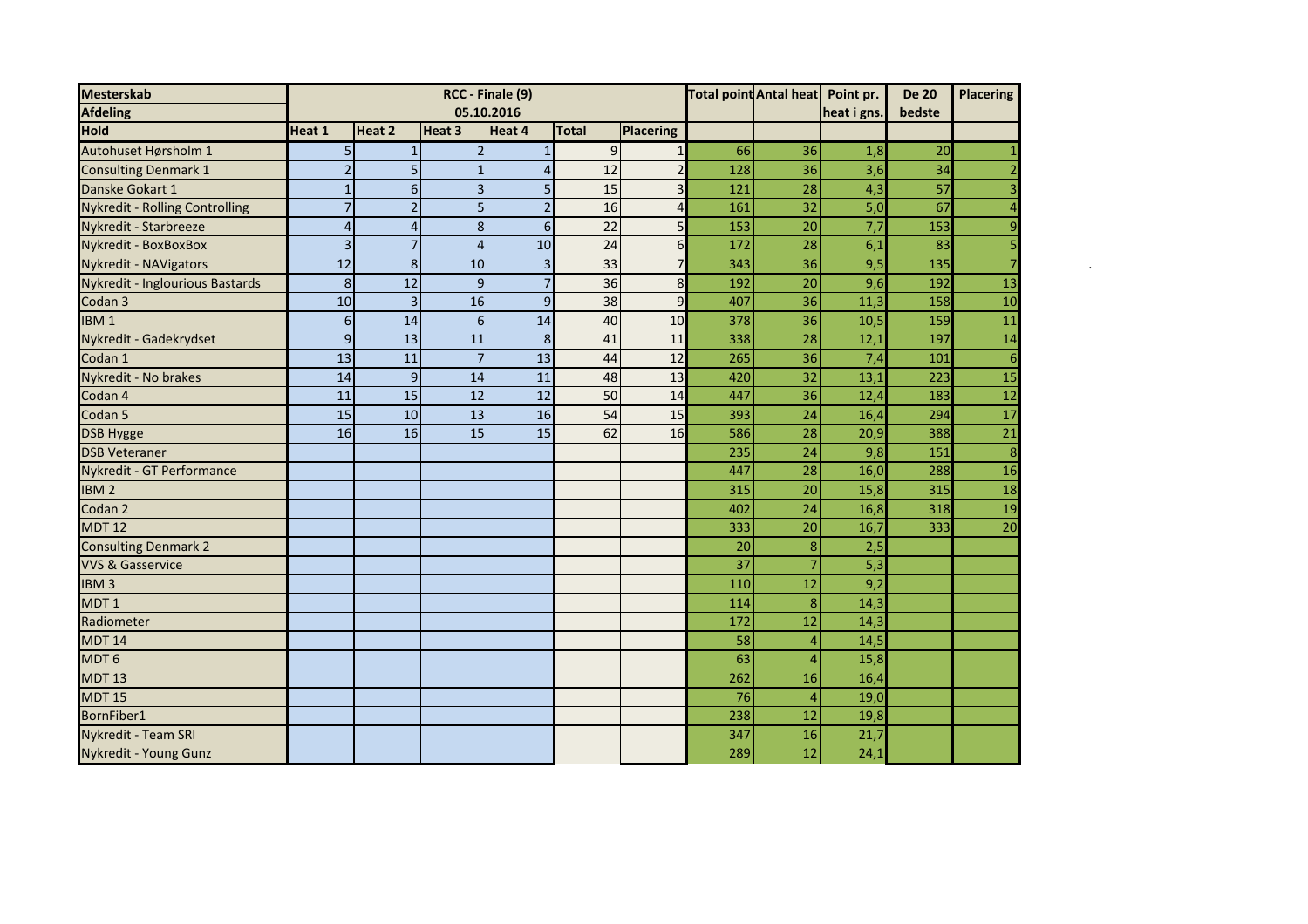| <b>Mesterskab</b>                      |                         |                |                 | RCC - Finale (9)         |              |                  |     | Total point Antal heat Point pr. |                  | <b>De 20</b>    | <b>Placering</b> |
|----------------------------------------|-------------------------|----------------|-----------------|--------------------------|--------------|------------------|-----|----------------------------------|------------------|-----------------|------------------|
| <b>Afdeling</b>                        |                         |                |                 | 05.10.2016               |              |                  |     |                                  | heat i gns.      | bedste          |                  |
| <b>Hold</b>                            | Heat 1                  | Heat 2         | Heat 3          | Heat 4                   | <b>Total</b> | <b>Placering</b> |     |                                  |                  |                 |                  |
| Autohuset Hørsholm 1                   | 5 <sup>1</sup>          | 1              | $\overline{2}$  |                          | 9            |                  | 66  | 36                               | 1,8              | 20              |                  |
| <b>Consulting Denmark 1</b>            | $\overline{2}$          | 5 <sup>1</sup> | $\mathbf{1}$    | $\overline{4}$           | 12           | $\overline{2}$   | 128 | $\overline{36}$                  | $\overline{3,6}$ | $\overline{34}$ |                  |
| Danske Gokart 1                        | $\mathbf{1}$            | 6              | 3               | 5                        | 15           | 3                | 121 | 28                               | 4,3              | 57              |                  |
| <b>Nykredit - Rolling Controlling</b>  | $\overline{7}$          | $\overline{2}$ | 5               | $\overline{\phantom{0}}$ | 16           | $\Delta$         | 161 | 32                               | 5,0              | 67              |                  |
| Nykredit - Starbreeze                  | 4                       | $\overline{4}$ | $\bf 8$         | 6                        | 22           | 5                | 153 | 20                               | 7,7              | 153             |                  |
| Nykredit - BoxBoxBox                   | $\overline{\mathbf{3}}$ | $\overline{7}$ | $\overline{4}$  | 10                       | 24           | 6                | 172 | 28                               | 6,1              | 83              |                  |
| Nykredit - NAVigators                  | 12                      | 8 <sup>1</sup> | 10              | $\overline{3}$           | 33           |                  | 343 | 36                               | 9,5              | 135             |                  |
| <b>Nykredit - Inglourious Bastards</b> | 8                       | 12             | $\overline{9}$  | $\overline{7}$           | 36           | 8                | 192 | 20                               | 9,6              | 192             | 13               |
| Codan 3                                | 10                      | $\overline{3}$ | 16              | 9                        | 38           | 9                | 407 | 36                               | 11,3             | 158             | 10               |
| IBM <sub>1</sub>                       | 6                       | 14             | 6               | 14                       | 40           | 10               | 378 | 36                               | 10,5             | 159             | 11               |
| Nykredit - Gadekrydset                 | $\overline{9}$          | 13             | 11              | 8                        | 41           | 11               | 338 | 28                               | 12,1             | 197             | 14               |
| Codan 1                                | 13                      | 11             | $\overline{7}$  | 13                       | 44           | 12               | 265 | 36                               | 7,4              | 101             |                  |
| Nykredit - No brakes                   | 14                      | 9              | 14              | 11                       | 48           | 13               | 420 | 32                               | 13,1             | 223             | 15               |
| Codan 4                                | 11                      | 15             | 12              | 12                       | 50           | 14               | 447 | 36                               | 12,4             | 183             | 12               |
| Codan <sub>5</sub>                     | 15                      | 10             | $\overline{13}$ | 16                       | 54           | 15               | 393 | 24                               | 16,4             | 294             | $\overline{17}$  |
| <b>DSB Hygge</b>                       | 16                      | 16             | 15              | 15                       | 62           | 16               | 586 | 28                               | 20,9             | 388             | $\overline{21}$  |
| <b>DSB Veteraner</b>                   |                         |                |                 |                          |              |                  | 235 | 24                               | 9,8              | 151             | 8                |
| Nykredit - GT Performance              |                         |                |                 |                          |              |                  | 447 | 28                               | 16,0             | 288             | 16               |
| IBM <sub>2</sub>                       |                         |                |                 |                          |              |                  | 315 | 20                               | 15,8             | 315             | 18               |
| Codan <sub>2</sub>                     |                         |                |                 |                          |              |                  | 402 | 24                               | 16,8             | 318             | 19               |
| <b>MDT 12</b>                          |                         |                |                 |                          |              |                  | 333 | 20                               | 16,7             | 333             | 20               |
| <b>Consulting Denmark 2</b>            |                         |                |                 |                          |              |                  | 20  | $\boldsymbol{8}$                 | 2,5              |                 |                  |
| <b>VVS &amp; Gasservice</b>            |                         |                |                 |                          |              |                  | 37  | $\overline{7}$                   | 5,3              |                 |                  |
| IBM <sub>3</sub>                       |                         |                |                 |                          |              |                  | 110 | 12                               | 9,2              |                 |                  |
| MDT <sub>1</sub>                       |                         |                |                 |                          |              |                  | 114 | $\lvert 8 \rvert$                | 14,3             |                 |                  |
| Radiometer                             |                         |                |                 |                          |              |                  | 172 | 12                               | 14,3             |                 |                  |
| <b>MDT 14</b>                          |                         |                |                 |                          |              |                  | 58  | $\overline{a}$                   | 14,5             |                 |                  |
| MDT <sub>6</sub>                       |                         |                |                 |                          |              |                  | 63  | $\overline{a}$                   | 15,8             |                 |                  |
| <b>MDT 13</b>                          |                         |                |                 |                          |              |                  | 262 | 16                               | 16,4             |                 |                  |
| <b>MDT 15</b>                          |                         |                |                 |                          |              |                  | 76  | $\overline{a}$                   | 19,0             |                 |                  |
| BornFiber1                             |                         |                |                 |                          |              |                  | 238 | 12                               | 19,8             |                 |                  |
| <b>Nykredit - Team SRI</b>             |                         |                |                 |                          |              |                  | 347 | 16                               | 21,7             |                 |                  |
| Nykredit - Young Gunz                  |                         |                |                 |                          |              |                  | 289 | 12                               | 24,1             |                 |                  |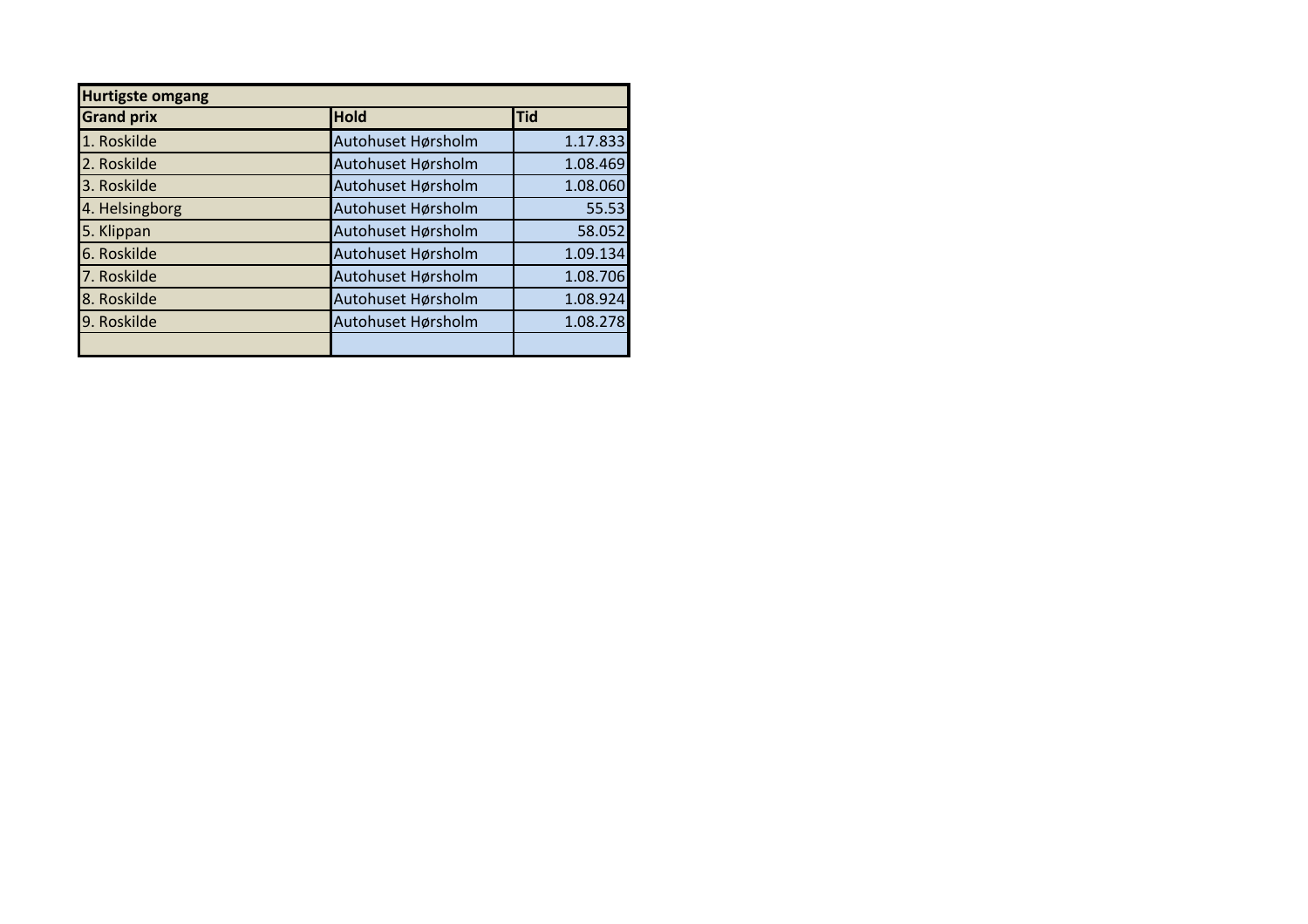| <b>Hurtigste omgang</b> |                    |            |
|-------------------------|--------------------|------------|
| <b>Grand prix</b>       | <b>Hold</b>        | <b>Tid</b> |
| 1. Roskilde             | Autohuset Hørsholm | 1.17.833   |
| 2. Roskilde             | Autohuset Hørsholm | 1.08.469   |
| 3. Roskilde             | Autohuset Hørsholm | 1.08.060   |
| 4. Helsingborg          | Autohuset Hørsholm | 55.53      |
| 5. Klippan              | Autohuset Hørsholm | 58.052     |
| 6. Roskilde             | Autohuset Hørsholm | 1.09.134   |
| 7. Roskilde             | Autohuset Hørsholm | 1.08.706   |
| 8. Roskilde             | Autohuset Hørsholm | 1.08.924   |
| 9. Roskilde             | Autohuset Hørsholm | 1.08.278   |
|                         |                    |            |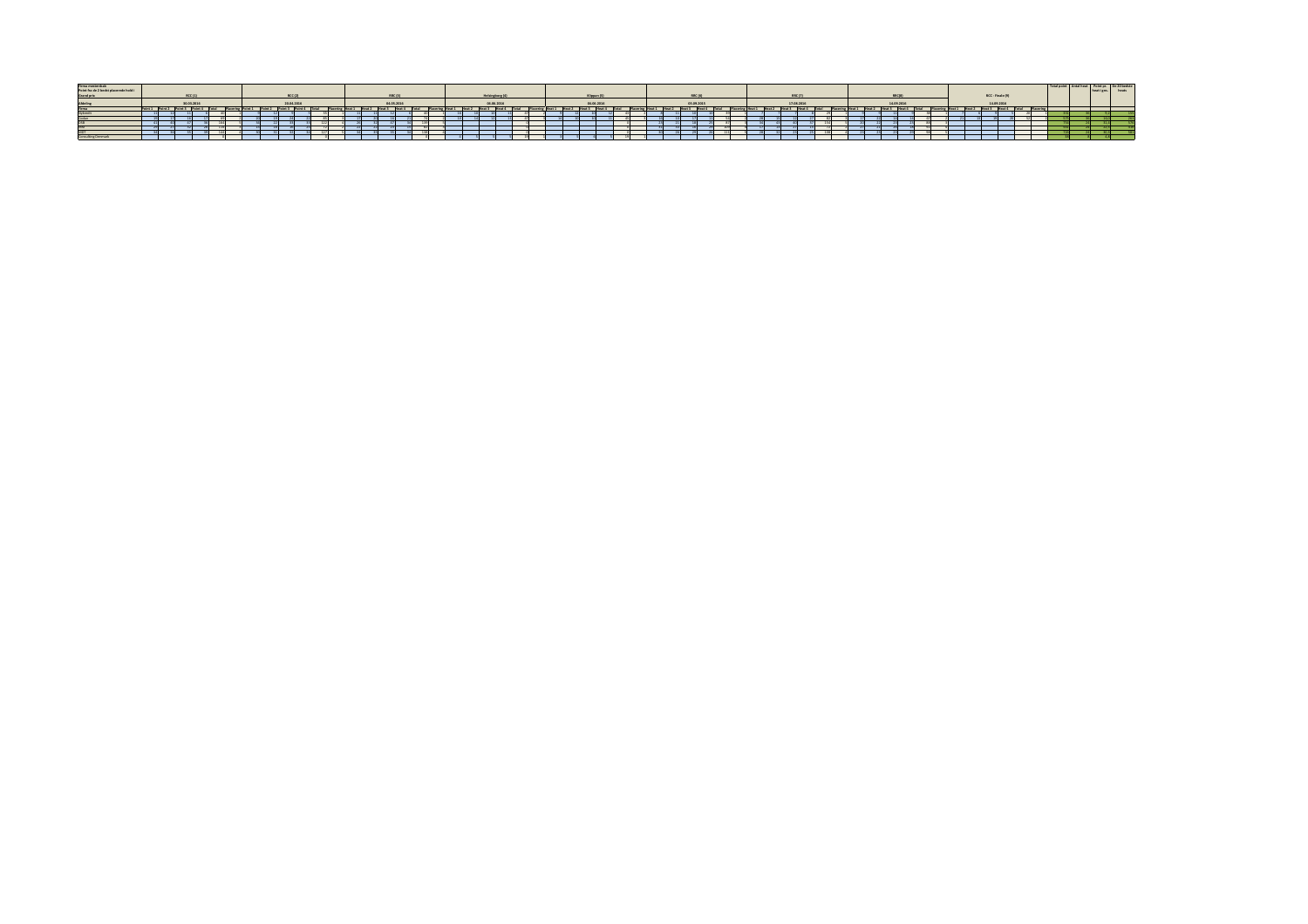| Firma mesterskab                      |  |           |                |  |  |                |  |  |           |  |  |            |                        |  |  |             |  |  |               |  |  |                |  |  |            |  |  |                  |                 | Total point Antal heat |  |  |
|---------------------------------------|--|-----------|----------------|--|--|----------------|--|--|-----------|--|--|------------|------------------------|--|--|-------------|--|--|---------------|--|--|----------------|--|--|------------|--|--|------------------|-----------------|------------------------|--|--|
| Point fra de 2 bedst placerede hold i |  |           |                |  |  |                |  |  |           |  |  |            |                        |  |  |             |  |  |               |  |  |                |  |  |            |  |  |                  |                 |                        |  |  |
| Grand prix                            |  |           | <b>RCC (1)</b> |  |  | <b>BCC (2)</b> |  |  | RRC(3)    |  |  |            | <b>Helsingborg (4)</b> |  |  | Klippan (S) |  |  | <b>DEC IS</b> |  |  | <b>RRC (7)</b> |  |  |            |  |  | RCC - Finale (9) |                 |                        |  |  |
| <b>Afdeling</b>                       |  | 30.03.201 |                |  |  | 20.04.2016     |  |  | 04.05.203 |  |  | 04.06.2016 |                        |  |  | 04.05.2016  |  |  | 05.09.2015    |  |  | 17.08.2016     |  |  | 14.09.2016 |  |  | 14.09.201        |                 |                        |  |  |
|                                       |  |           |                |  |  |                |  |  |           |  |  |            |                        |  |  |             |  |  |               |  |  |                |  |  |            |  |  |                  | Total Placering |                        |  |  |
|                                       |  |           |                |  |  |                |  |  |           |  |  |            |                        |  |  |             |  |  |               |  |  |                |  |  |            |  |  |                  |                 |                        |  |  |
|                                       |  |           |                |  |  |                |  |  |           |  |  |            |                        |  |  |             |  |  |               |  |  |                |  |  |            |  |  |                  |                 |                        |  |  |
|                                       |  |           |                |  |  |                |  |  |           |  |  |            |                        |  |  |             |  |  |               |  |  |                |  |  |            |  |  |                  |                 |                        |  |  |
|                                       |  |           |                |  |  |                |  |  |           |  |  |            |                        |  |  |             |  |  |               |  |  |                |  |  |            |  |  |                  |                 |                        |  |  |
|                                       |  |           |                |  |  |                |  |  |           |  |  |            |                        |  |  |             |  |  |               |  |  |                |  |  |            |  |  |                  |                 |                        |  |  |
| <b>Consulting Denmark</b>             |  |           |                |  |  |                |  |  |           |  |  |            |                        |  |  |             |  |  |               |  |  |                |  |  |            |  |  |                  |                 |                        |  |  |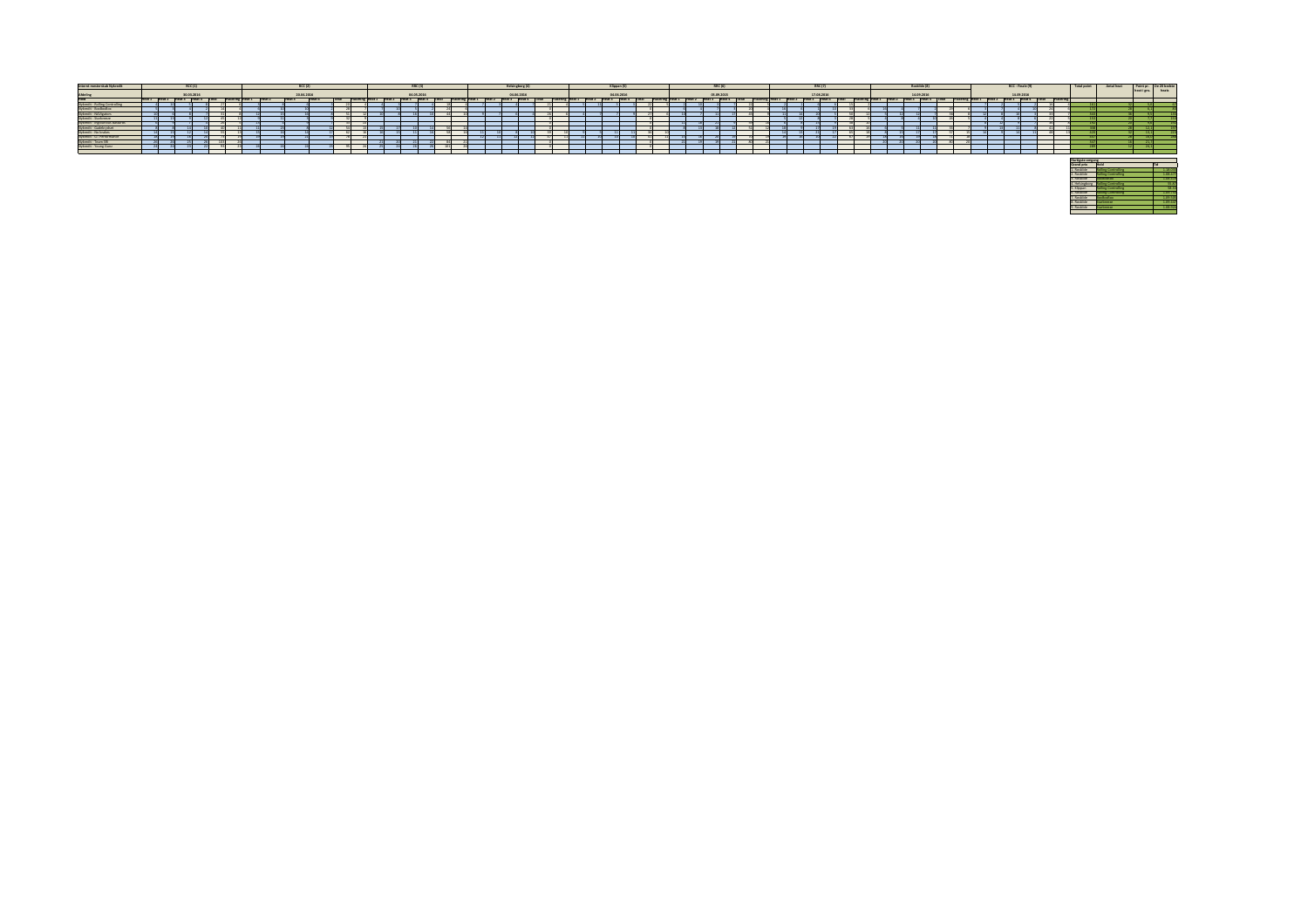| Internt mesterskab Nykredit     |                                                                  |            |  |  | vec(2)     |  |  |                                                                                        | BRC(3)     |  |  | <b>Helsingborg</b> (4) |                                             |  | Klippan    |  |  |            |  |  | <b>RRC</b> (7)                                                                                                                                                                          |  |  | Roskilde (B) |  |  | RCC - Finale (9) |  | Total point                           | Antal heat              |             | Point pr. De 20 bedste |
|---------------------------------|------------------------------------------------------------------|------------|--|--|------------|--|--|----------------------------------------------------------------------------------------|------------|--|--|------------------------|---------------------------------------------|--|------------|--|--|------------|--|--|-----------------------------------------------------------------------------------------------------------------------------------------------------------------------------------------|--|--|--------------|--|--|------------------|--|---------------------------------------|-------------------------|-------------|------------------------|
|                                 |                                                                  | 30.03.2016 |  |  | 20.04.2016 |  |  |                                                                                        | 04.05.2016 |  |  | 04.06.2016             |                                             |  | 04.05.2016 |  |  | 05.09.2015 |  |  | 17.08.2016                                                                                                                                                                              |  |  | 14.09.2016   |  |  | 14.09.2016       |  |                                       |                         | heat i gns. | beats                  |
| Afdeling<br>Hold                |                                                                  |            |  |  |            |  |  |                                                                                        |            |  |  |                        |                                             |  |            |  |  |            |  |  |                                                                                                                                                                                         |  |  |              |  |  |                  |  |                                       |                         |             |                        |
|                                 | Meat 1 Meat 2 Meat 3 Meat 4 Total Placering Meat 2 Meat 3 Meat 3 |            |  |  |            |  |  | Total Placering Heat 1 Heat 2 Heat 3 Heat 4 Total Placering Heat 1 Heat 2 Heat 4 Total |            |  |  |                        | Placering Meat 1 Meat 2 Meat 3 Meat 4 Total |  |            |  |  |            |  |  | Placering Ment1  Hent2  Hent3  Hent4  Total  Placering Ment1  Hent3  Hent3  Hent4  Total  Placering  Hent1  Hent3  Hent4  Total  Placering Hent1  Hent2  Hent3  Hent4  Total  Placering |  |  |              |  |  |                  |  |                                       |                         |             |                        |
| Nykredit - Rolling Controlling  |                                                                  |            |  |  |            |  |  |                                                                                        |            |  |  |                        |                                             |  |            |  |  |            |  |  |                                                                                                                                                                                         |  |  |              |  |  |                  |  |                                       |                         |             |                        |
| Nykredit - Brodiosticx          |                                                                  |            |  |  |            |  |  |                                                                                        |            |  |  |                        |                                             |  |            |  |  |            |  |  |                                                                                                                                                                                         |  |  |              |  |  |                  |  |                                       |                         |             |                        |
| Nykredit - NAVigators           |                                                                  |            |  |  |            |  |  |                                                                                        |            |  |  |                        |                                             |  |            |  |  |            |  |  |                                                                                                                                                                                         |  |  |              |  |  |                  |  |                                       |                         |             |                        |
| Nykredit - Starbreeze           |                                                                  |            |  |  |            |  |  |                                                                                        |            |  |  |                        |                                             |  |            |  |  |            |  |  |                                                                                                                                                                                         |  |  |              |  |  |                  |  |                                       |                         |             |                        |
| Nykredit - Inglourious Bastards |                                                                  |            |  |  |            |  |  |                                                                                        |            |  |  |                        |                                             |  |            |  |  |            |  |  |                                                                                                                                                                                         |  |  |              |  |  |                  |  |                                       |                         |             |                        |
| Nykredit - Gadekrydset          |                                                                  |            |  |  |            |  |  |                                                                                        |            |  |  |                        |                                             |  |            |  |  |            |  |  |                                                                                                                                                                                         |  |  |              |  |  |                  |  |                                       |                         |             |                        |
| Nykredit - No brakes            |                                                                  |            |  |  |            |  |  |                                                                                        |            |  |  |                        |                                             |  |            |  |  |            |  |  |                                                                                                                                                                                         |  |  |              |  |  |                  |  |                                       |                         |             |                        |
| Nykredit - GT Performance       |                                                                  |            |  |  |            |  |  |                                                                                        |            |  |  |                        |                                             |  |            |  |  |            |  |  |                                                                                                                                                                                         |  |  |              |  |  |                  |  |                                       |                         |             |                        |
| Nykredit - Team SRI             |                                                                  |            |  |  |            |  |  |                                                                                        |            |  |  |                        |                                             |  |            |  |  |            |  |  |                                                                                                                                                                                         |  |  |              |  |  |                  |  |                                       |                         |             |                        |
| Nyknedit - Young Gunz           |                                                                  |            |  |  |            |  |  |                                                                                        |            |  |  |                        |                                             |  |            |  |  |            |  |  |                                                                                                                                                                                         |  |  |              |  |  |                  |  |                                       |                         |             |                        |
|                                 |                                                                  |            |  |  |            |  |  |                                                                                        |            |  |  |                        |                                             |  |            |  |  |            |  |  |                                                                                                                                                                                         |  |  |              |  |  |                  |  |                                       |                         |             |                        |
|                                 |                                                                  |            |  |  |            |  |  |                                                                                        |            |  |  |                        |                                             |  |            |  |  |            |  |  |                                                                                                                                                                                         |  |  |              |  |  |                  |  |                                       |                         |             |                        |
|                                 |                                                                  |            |  |  |            |  |  |                                                                                        |            |  |  |                        |                                             |  |            |  |  |            |  |  |                                                                                                                                                                                         |  |  |              |  |  |                  |  | Murtigste omgang                      |                         |             |                        |
|                                 |                                                                  |            |  |  |            |  |  |                                                                                        |            |  |  |                        |                                             |  |            |  |  |            |  |  |                                                                                                                                                                                         |  |  |              |  |  |                  |  | Grand prix                            |                         |             |                        |
|                                 |                                                                  |            |  |  |            |  |  |                                                                                        |            |  |  |                        |                                             |  |            |  |  |            |  |  |                                                                                                                                                                                         |  |  |              |  |  |                  |  | 1. Roskilde                           | ing Controlling         |             | 7780                   |
|                                 |                                                                  |            |  |  |            |  |  |                                                                                        |            |  |  |                        |                                             |  |            |  |  |            |  |  |                                                                                                                                                                                         |  |  |              |  |  |                  |  |                                       | <b>Ing Controlling</b>  |             | 1054                   |
|                                 |                                                                  |            |  |  |            |  |  |                                                                                        |            |  |  |                        |                                             |  |            |  |  |            |  |  |                                                                                                                                                                                         |  |  |              |  |  |                  |  | 2. Raskilde<br>3. Raskilde            |                         |             | <b>SOFA</b>            |
|                                 |                                                                  |            |  |  |            |  |  |                                                                                        |            |  |  |                        |                                             |  |            |  |  |            |  |  |                                                                                                                                                                                         |  |  |              |  |  |                  |  | 4. Hehingborg                         | <b>ling Controlling</b> |             |                        |
|                                 |                                                                  |            |  |  |            |  |  |                                                                                        |            |  |  |                        |                                             |  |            |  |  |            |  |  |                                                                                                                                                                                         |  |  |              |  |  |                  |  |                                       | <b>line Controlline</b> |             |                        |
|                                 |                                                                  |            |  |  |            |  |  |                                                                                        |            |  |  |                        |                                             |  |            |  |  |            |  |  |                                                                                                                                                                                         |  |  |              |  |  |                  |  |                                       | <b>Ing Controlling</b>  |             | 100 <sup>2</sup>       |
|                                 |                                                                  |            |  |  |            |  |  |                                                                                        |            |  |  |                        |                                             |  |            |  |  |            |  |  |                                                                                                                                                                                         |  |  |              |  |  |                  |  | 5. Kippan<br>6. Roskide<br>7. Roskide |                         |             | 1.095                  |
|                                 |                                                                  |            |  |  |            |  |  |                                                                                        |            |  |  |                        |                                             |  |            |  |  |            |  |  |                                                                                                                                                                                         |  |  |              |  |  |                  |  | <b>8. Roskilde</b>                    |                         |             | 1.0944                 |
|                                 |                                                                  |            |  |  |            |  |  |                                                                                        |            |  |  |                        |                                             |  |            |  |  |            |  |  |                                                                                                                                                                                         |  |  |              |  |  |                  |  | 9. Raskilde                           |                         |             | 1010                   |
|                                 |                                                                  |            |  |  |            |  |  |                                                                                        |            |  |  |                        |                                             |  |            |  |  |            |  |  |                                                                                                                                                                                         |  |  |              |  |  |                  |  |                                       |                         |             |                        |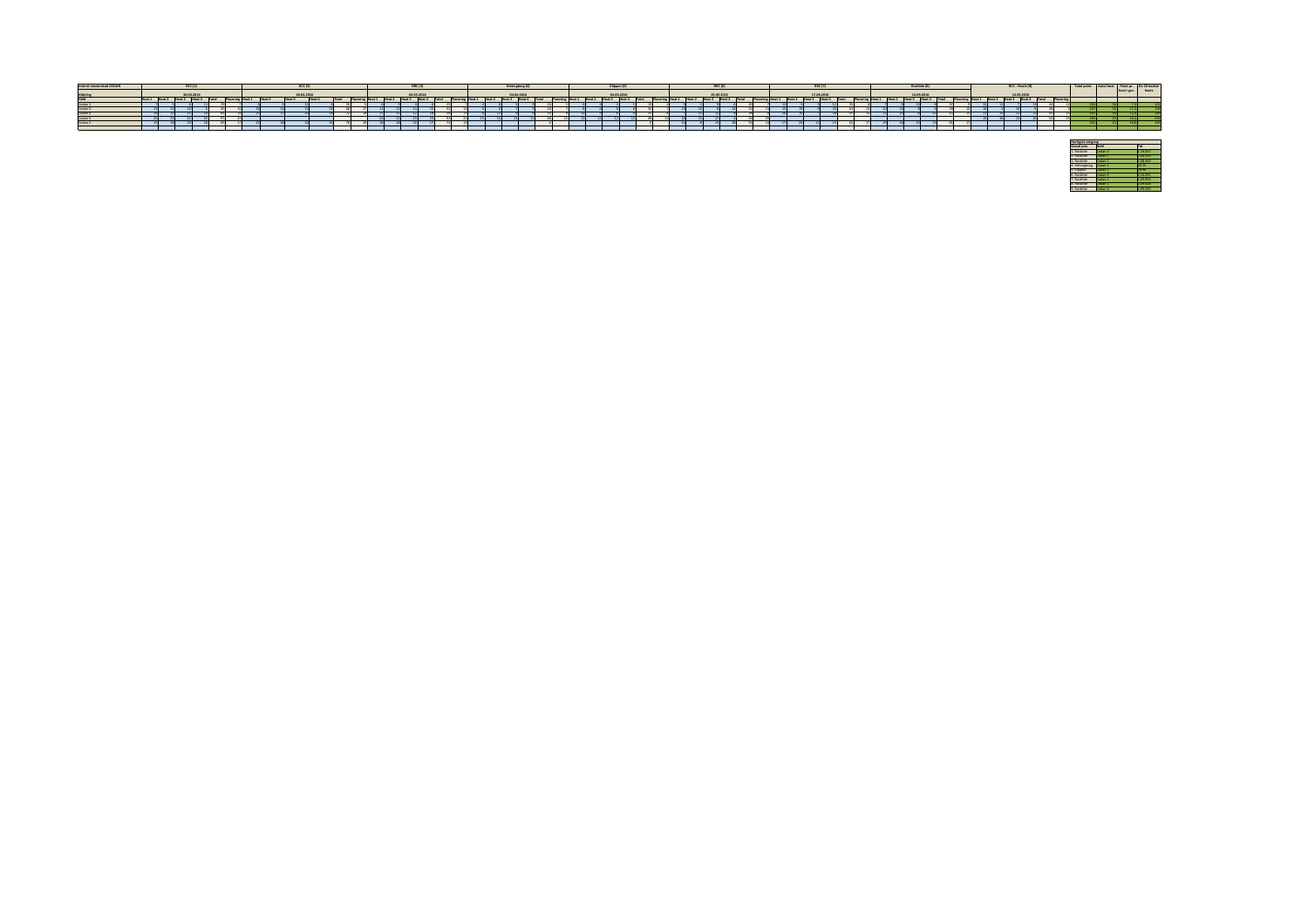| Internt mesterskab CODAN |  | <b>BCCI</b> |  |  |            |  |  | <b>RRC (3)</b> |        |  |  | <b>Helsingborg [4]</b> |  |  | Kilppan (5) |  |  | <b>RECIG</b> |  |  |            |       |  | Roskilde I |              |  |             | BCC - Eleale (9) |             |           |  |                | Total point Antal heat Point pr. De 20 bedst |  |
|--------------------------|--|-------------|--|--|------------|--|--|----------------|--------|--|--|------------------------|--|--|-------------|--|--|--------------|--|--|------------|-------|--|------------|--------------|--|-------------|------------------|-------------|-----------|--|----------------|----------------------------------------------|--|
|                          |  |             |  |  |            |  |  |                |        |  |  |                        |  |  |             |  |  |              |  |  |            |       |  |            |              |  |             |                  |             |           |  | beatism. beats |                                              |  |
| <b>Afdeling</b>          |  | 30.03.2016  |  |  | 20.04.2016 |  |  | 04.05.201      |        |  |  | 04.06.201              |  |  | 04.05.2016  |  |  | 05.09.2015   |  |  | 17.05.2016 |       |  | 14.09.2010 |              |  |             | 14.09.201        |             |           |  |                |                                              |  |
|                          |  |             |  |  |            |  |  |                | Tribal |  |  |                        |  |  |             |  |  |              |  |  |            | Total |  |            | Heat & Total |  | Month Month |                  | nat 4 Total | Placering |  |                |                                              |  |
| Codan 1                  |  |             |  |  |            |  |  |                |        |  |  |                        |  |  |             |  |  |              |  |  |            |       |  |            |              |  |             |                  |             |           |  |                |                                              |  |
|                          |  |             |  |  |            |  |  |                |        |  |  |                        |  |  |             |  |  |              |  |  |            |       |  |            |              |  |             |                  |             |           |  |                |                                              |  |
| Cortan A                 |  |             |  |  |            |  |  |                |        |  |  |                        |  |  |             |  |  |              |  |  |            |       |  |            |              |  |             |                  |             |           |  |                |                                              |  |
|                          |  |             |  |  |            |  |  |                |        |  |  |                        |  |  |             |  |  |              |  |  |            |       |  |            |              |  |             |                  |             |           |  |                |                                              |  |
|                          |  |             |  |  |            |  |  |                |        |  |  |                        |  |  |             |  |  |              |  |  |            |       |  |            |              |  |             |                  |             |           |  |                |                                              |  |
|                          |  |             |  |  |            |  |  |                |        |  |  |                        |  |  |             |  |  |              |  |  |            |       |  |            |              |  |             |                  |             |           |  |                |                                              |  |

| <b>Stand orls</b> | Nold               | Tid      |
|-------------------|--------------------|----------|
| . Raskilde        | Codan 3            | 1.18.837 |
| 2. Raskilde       | Codan 2            | 1.08.918 |
| <b>Doublet</b>    | Codan <sub>1</sub> | 1.08.446 |
| I. Helsingbong    | Codan 1            | 56.15    |
| 5. Klippan        | Codan 2            | 58.96    |
| 5. Raskilde       | Codan 4            | 1.30.055 |
| 7. Raskilde       | Codan 2            | 1.09.953 |
| 5. Raskilde       | Codan <sub>1</sub> | 1.09.628 |
| 9. Roskilde       | Codan <sub>3</sub> | 1.09.256 |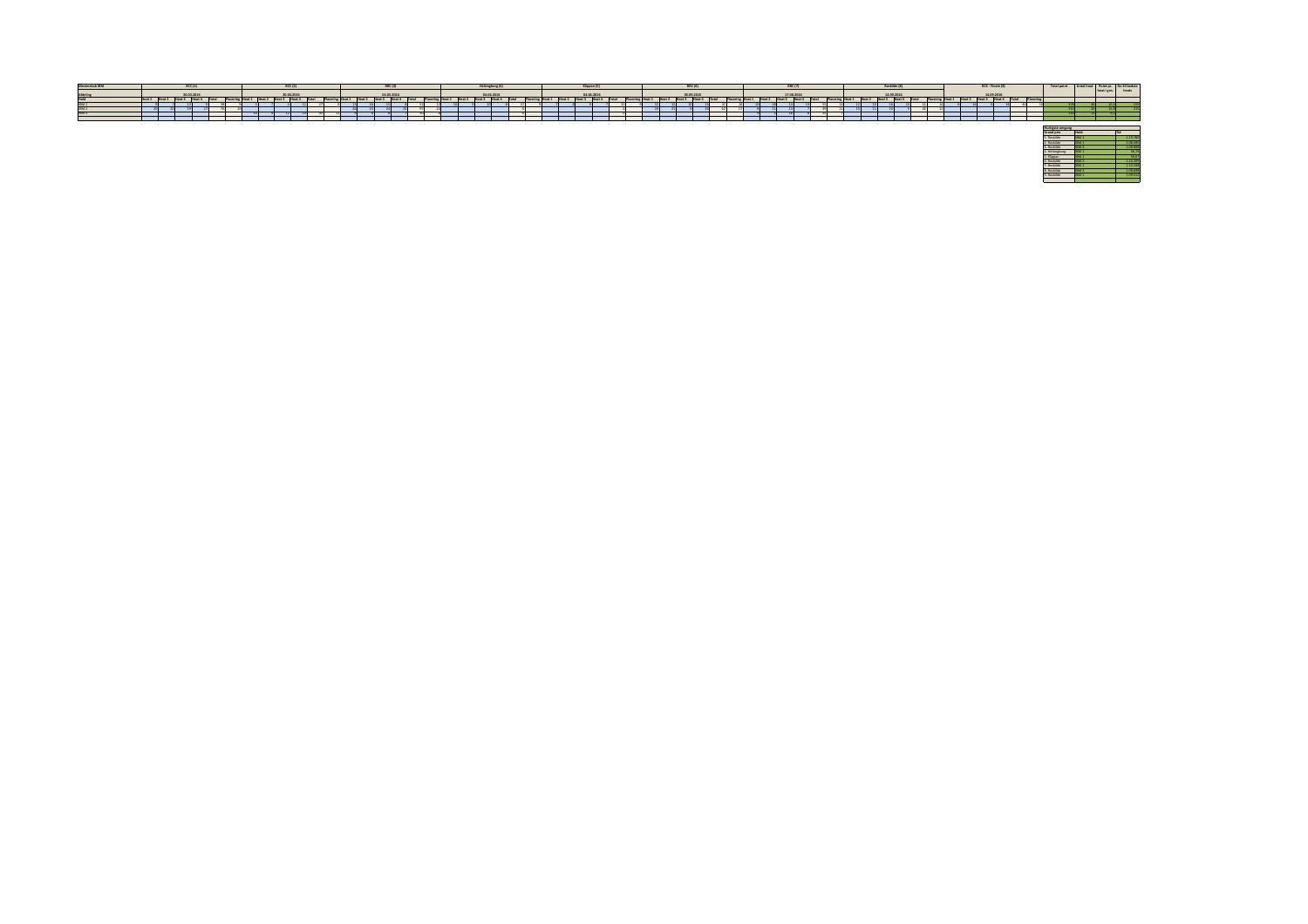| Mesterskab IBM   |        |            | $rac{1}{2}$ |        |  | RCC(2)     |       |  | RRC (3)    |       |           |  | <b>Helsingborg</b> (4) |  |          |            | Kippan (5) |          |  | RRC(6)     |  |  | RRC(T)     |  |  | Roskide (E) |              |           |        |            | RCC - Finale (9)       |            | Total point   Antal heat   Point or.   De 20 bedste |                 |          |       |
|------------------|--------|------------|-------------|--------|--|------------|-------|--|------------|-------|-----------|--|------------------------|--|----------|------------|------------|----------|--|------------|--|--|------------|--|--|-------------|--------------|-----------|--------|------------|------------------------|------------|-----------------------------------------------------|-----------------|----------|-------|
|                  |        | 30.03.2016 |             |        |  | 20.04.2016 |       |  | 04.05.2016 |       |           |  | 04.05.2016             |  |          | 04.05.2016 |            |          |  | 05.09.2015 |  |  | 17.08.2016 |  |  | 14.09.2016  |              |           |        | 14.09.2016 |                        |            |                                                     | beations. beats |          |       |
| Afdeling<br>Nold | Heat 1 |            |             | Tribal |  |            | Total |  |            | Total | Placerine |  |                        |  | Placerin |            |            | Placerin |  |            |  |  |            |  |  |             | eest 4 Total | Placering | Heat 2 |            | Heat 4 Total Placering |            |                                                     |                 |          |       |
| IEM 1            |        |            |             |        |  |            |       |  |            |       |           |  |                        |  |          |            |            |          |  |            |  |  |            |  |  |             |              |           |        |            |                        |            |                                                     |                 |          |       |
| IEM 2            |        |            |             |        |  |            |       |  |            |       |           |  |                        |  |          |            |            |          |  |            |  |  |            |  |  |             |              |           |        |            |                        |            |                                                     |                 |          |       |
| <b>EM3</b>       |        |            |             |        |  |            |       |  |            |       |           |  |                        |  |          |            |            |          |  |            |  |  |            |  |  |             |              |           |        |            |                        |            |                                                     |                 |          |       |
|                  |        |            |             |        |  |            |       |  |            |       |           |  |                        |  |          |            |            |          |  |            |  |  |            |  |  |             |              |           |        |            |                        |            |                                                     |                 |          |       |
|                  |        |            |             |        |  |            |       |  |            |       |           |  |                        |  |          |            |            |          |  |            |  |  |            |  |  |             |              |           |        |            |                        |            |                                                     |                 |          |       |
|                  |        |            |             |        |  |            |       |  |            |       |           |  |                        |  |          |            |            |          |  |            |  |  |            |  |  |             |              |           |        |            |                        |            | <b>Hurtigste omgan</b>                              |                 |          |       |
|                  |        |            |             |        |  |            |       |  |            |       |           |  |                        |  |          |            |            |          |  |            |  |  |            |  |  |             |              |           |        |            |                        |            |                                                     |                 |          |       |
|                  |        |            |             |        |  |            |       |  |            |       |           |  |                        |  |          |            |            |          |  |            |  |  |            |  |  |             |              |           |        |            |                        |            |                                                     |                 | 1.19.780 |       |
|                  |        |            |             |        |  |            |       |  |            |       |           |  |                        |  |          |            |            |          |  |            |  |  |            |  |  |             |              |           |        |            |                        |            | Imblida                                             |                 | 1.08.495 |       |
|                  |        |            |             |        |  |            |       |  |            |       |           |  |                        |  |          |            |            |          |  |            |  |  |            |  |  |             |              |           |        |            |                        |            | <b>Draktide</b>                                     |                 | 1.08.898 |       |
|                  |        |            |             |        |  |            |       |  |            |       |           |  |                        |  |          |            |            |          |  |            |  |  |            |  |  |             |              |           |        |            |                        |            | Helsingborg                                         |                 |          |       |
|                  |        |            |             |        |  |            |       |  |            |       |           |  |                        |  |          |            |            |          |  |            |  |  |            |  |  |             |              |           |        |            |                        | 5. Kilopan |                                                     |                 |          | 50.67 |

 5. Klippan 59,67 6. Roskilde 1.10.209 7. Roskilde 1.10.248 8. Roskilde 1.09.698 9. Roskilde IBM 1 1.09.012 IBM 1 IBM 2 IBM 1 IBM 2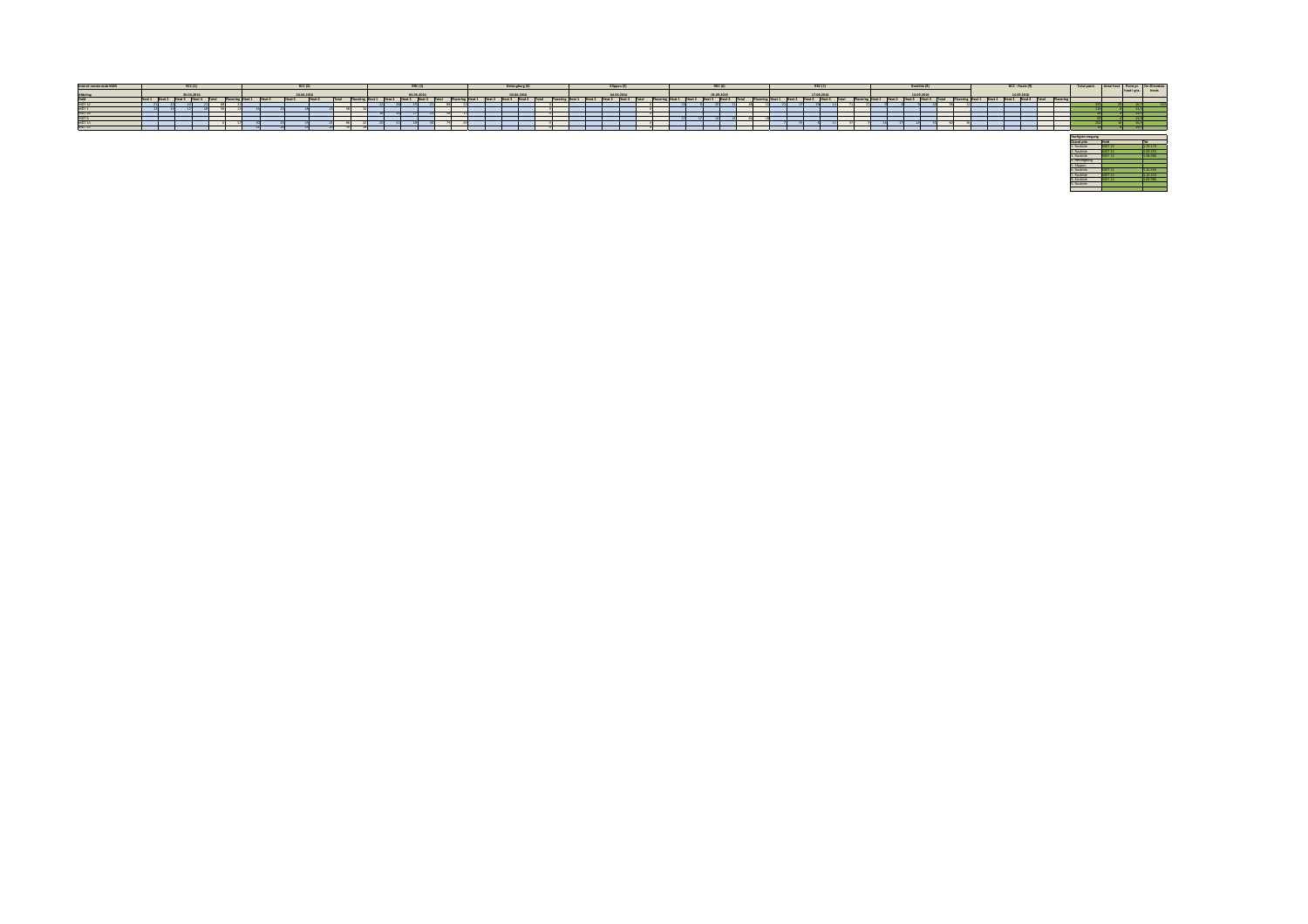| Internt mesterskab MAN |  | BCC(1)     |  |  |            |  |  | <b>RRC(3)</b> |  |  | <b>Helsingborg</b> [4] |                 |  | Klippan (S) |  |  | RRC (6)    |  |  | <b>DEC (7)</b> |  |  | Roskilde (B) |  |  | RCC - Finale (9) |           |            | Total point Antal heat   Point pr.   De 20 bedate |                 |  |
|------------------------|--|------------|--|--|------------|--|--|---------------|--|--|------------------------|-----------------|--|-------------|--|--|------------|--|--|----------------|--|--|--------------|--|--|------------------|-----------|------------|---------------------------------------------------|-----------------|--|
|                        |  | 30.03.2016 |  |  | 20.04.2016 |  |  | 04.05.2016    |  |  | 04.05.2016             |                 |  | 04.05.2016  |  |  | 05.09.2015 |  |  | 17.08.2016     |  |  | 14.09.2016   |  |  | 14.09.2016       |           |            |                                                   | heatiens. heats |  |
|                        |  |            |  |  |            |  |  |               |  |  |                        |                 |  |             |  |  |            |  |  |                |  |  |              |  |  |                  |           |            |                                                   |                 |  |
| Afdeling<br>Hold       |  |            |  |  |            |  |  |               |  |  |                        | <b>Plararin</b> |  |             |  |  |            |  |  |                |  |  |              |  |  |                  | Placering |            |                                                   |                 |  |
| <b>MDT 12</b>          |  |            |  |  |            |  |  |               |  |  |                        |                 |  |             |  |  |            |  |  |                |  |  |              |  |  |                  |           |            |                                                   |                 |  |
|                        |  |            |  |  |            |  |  |               |  |  |                        |                 |  |             |  |  |            |  |  |                |  |  |              |  |  |                  |           |            |                                                   |                 |  |
| MDT 14                 |  |            |  |  |            |  |  |               |  |  |                        |                 |  |             |  |  |            |  |  |                |  |  |              |  |  |                  |           |            |                                                   |                 |  |
| MDT 6                  |  |            |  |  |            |  |  |               |  |  |                        |                 |  |             |  |  |            |  |  |                |  |  |              |  |  |                  |           |            |                                                   |                 |  |
|                        |  |            |  |  |            |  |  |               |  |  |                        |                 |  |             |  |  |            |  |  |                |  |  |              |  |  |                  |           |            |                                                   |                 |  |
|                        |  |            |  |  |            |  |  |               |  |  |                        |                 |  |             |  |  |            |  |  |                |  |  |              |  |  |                  |           |            |                                                   |                 |  |
|                        |  |            |  |  |            |  |  |               |  |  |                        |                 |  |             |  |  |            |  |  |                |  |  |              |  |  |                  |           |            |                                                   |                 |  |
|                        |  |            |  |  |            |  |  |               |  |  |                        |                 |  |             |  |  |            |  |  |                |  |  |              |  |  |                  |           |            |                                                   |                 |  |
|                        |  |            |  |  |            |  |  |               |  |  |                        |                 |  |             |  |  |            |  |  |                |  |  |              |  |  |                  |           | Grand prix |                                                   |                 |  |
|                        |  |            |  |  |            |  |  |               |  |  |                        |                 |  |             |  |  |            |  |  |                |  |  |              |  |  |                  |           | 1 Employe. |                                                   |                 |  |

| .                 | ,,,,,,            |                 |
|-------------------|-------------------|-----------------|
| Raskfide          | <b>NOT 15</b>     | 10.173          |
| Raskfide          | NOT <sub>15</sub> | (0.505)         |
| <b>Taskfde</b>    | <b>NOT 18</b>     | <b>CIT FIRM</b> |
| <b>Hehingborg</b> |                   |                 |
| <b>Clopan</b>     |                   |                 |
| Raskfide          | NOT 12            | <b>ROMAN</b>    |
| <b>Truck Erfu</b> | <b>MOT 11</b>     | 10,102          |
| Traktria          | NOT 12            | <b>CO</b> ONE   |
| . Roskilde        |                   |                 |
|                   |                   |                 |